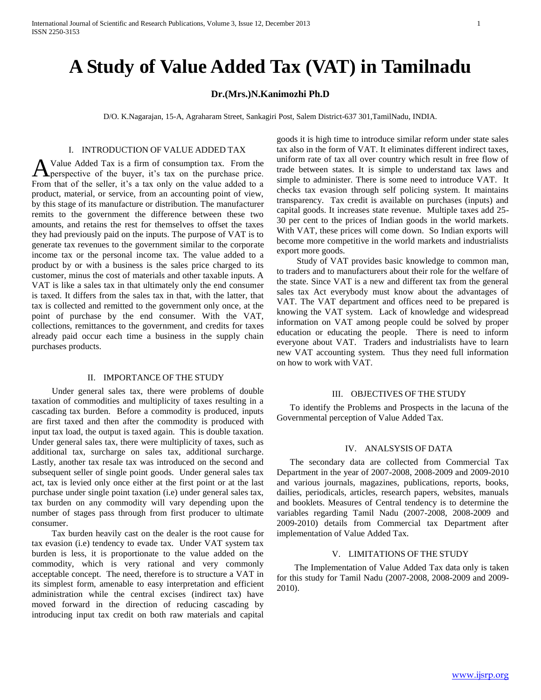# **A Study of Value Added Tax (VAT) in Tamilnadu**

# **Dr.(Mrs.)N.Kanimozhi Ph.D**

D/O. K.Nagarajan, 15-A, Agraharam Street, Sankagiri Post, Salem District-637 301,TamilNadu, INDIA.

#### I. INTRODUCTION OF VALUE ADDED TAX

Value Added Tax is a firm of consumption tax. From the perspective of the buyer, it's tax on the purchase price. A Value Added Tax is a firm of consumption tax. From the perspective of the buyer, it's tax on the purchase price.<br>From that of the seller, it's a tax only on the value added to a product, material, or service, from an accounting point of view, by this stage of its manufacture or distribution. The manufacturer remits to the government the difference between these two amounts, and retains the rest for themselves to offset the taxes they had previously paid on the inputs. The purpose of VAT is to generate tax revenues to the government similar to the corporate income tax or the personal income tax. The value added to a product by or with a business is the sales price charged to its customer, minus the cost of materials and other taxable inputs. A VAT is like a sales tax in that ultimately only the end consumer is taxed. It differs from the sales tax in that, with the latter, that tax is collected and remitted to the government only once, at the point of purchase by the end consumer. With the VAT, collections, remittances to the government, and credits for taxes already paid occur each time a business in the supply chain purchases products.

#### II. IMPORTANCE OF THE STUDY

 Under general sales tax, there were problems of double taxation of commodities and multiplicity of taxes resulting in a cascading tax burden. Before a commodity is produced, inputs are first taxed and then after the commodity is produced with input tax load, the output is taxed again. This is double taxation. Under general sales tax, there were multiplicity of taxes, such as additional tax, surcharge on sales tax, additional surcharge. Lastly, another tax resale tax was introduced on the second and subsequent seller of single point goods. Under general sales tax act, tax is levied only once either at the first point or at the last purchase under single point taxation (i.e) under general sales tax, tax burden on any commodity will vary depending upon the number of stages pass through from first producer to ultimate consumer.

 Tax burden heavily cast on the dealer is the root cause for tax evasion (i.e) tendency to evade tax. Under VAT system tax burden is less, it is proportionate to the value added on the commodity, which is very rational and very commonly acceptable concept. The need, therefore is to structure a VAT in its simplest form, amenable to easy interpretation and efficient administration while the central excises (indirect tax) have moved forward in the direction of reducing cascading by introducing input tax credit on both raw materials and capital goods it is high time to introduce similar reform under state sales tax also in the form of VAT. It eliminates different indirect taxes, uniform rate of tax all over country which result in free flow of trade between states. It is simple to understand tax laws and simple to administer. There is some need to introduce VAT. It checks tax evasion through self policing system. It maintains transparency. Tax credit is available on purchases (inputs) and capital goods. It increases state revenue. Multiple taxes add 25- 30 per cent to the prices of Indian goods in the world markets. With VAT, these prices will come down. So Indian exports will become more competitive in the world markets and industrialists export more goods.

 Study of VAT provides basic knowledge to common man, to traders and to manufacturers about their role for the welfare of the state. Since VAT is a new and different tax from the general sales tax Act everybody must know about the advantages of VAT. The VAT department and offices need to be prepared is knowing the VAT system. Lack of knowledge and widespread information on VAT among people could be solved by proper education or educating the people. There is need to inform everyone about VAT. Traders and industrialists have to learn new VAT accounting system. Thus they need full information on how to work with VAT.

## III. OBJECTIVES OF THE STUDY

 To identify the Problems and Prospects in the lacuna of the Governmental perception of Value Added Tax.

## IV. ANALSYSIS OF DATA

 The secondary data are collected from Commercial Tax Department in the year of 2007-2008, 2008-2009 and 2009-2010 and various journals, magazines, publications, reports, books, dailies, periodicals, articles, research papers, websites, manuals and booklets. Measures of Central tendency is to determine the variables regarding Tamil Nadu (2007-2008, 2008-2009 and 2009-2010) details from Commercial tax Department after implementation of Value Added Tax.

# V. LIMITATIONS OF THE STUDY

 The Implementation of Value Added Tax data only is taken for this study for Tamil Nadu (2007-2008, 2008-2009 and 2009- 2010).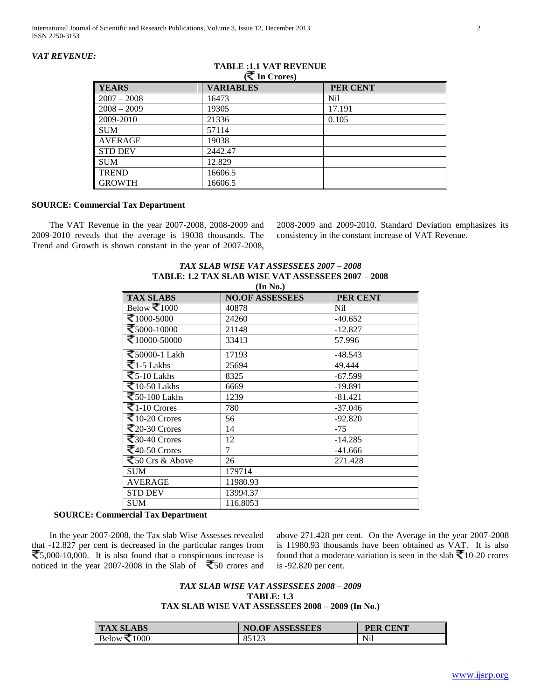# *VAT REVENUE:*

| <b>YEARS</b>   | <b>VARIABLES</b> | PER CENT   |
|----------------|------------------|------------|
| $2007 - 2008$  | 16473            | <b>Nil</b> |
| $2008 - 2009$  | 19305            | 17.191     |
| 2009-2010      | 21336            | 0.105      |
| <b>SUM</b>     | 57114            |            |
| AVERAGE        | 19038            |            |
| <b>STD DEV</b> | 2442.47          |            |
| <b>SUM</b>     | 12.829           |            |
| <b>TREND</b>   | 6606.5           |            |
| <b>GROWTH</b>  | 16606.5          |            |

#### **TABLE :1.1 VAT REVENUE ( In Crores)**

## **SOURCE: Commercial Tax Department**

 The VAT Revenue in the year 2007-2008, 2008-2009 and 2009-2010 reveals that the average is 19038 thousands. The Trend and Growth is shown constant in the year of 2007-2008, 2008-2009 and 2009-2010. Standard Deviation emphasizes its consistency in the constant increase of VAT Revenue.

#### *TAX SLAB WISE VAT ASSESSEES 2007 – 2008* **TABLE: 1.2 TAX SLAB WISE VAT ASSESSEES 2007 – 2008 (In No.)**

| , , , , , , , , ,                    |                        |           |  |
|--------------------------------------|------------------------|-----------|--|
| <b>TAX SLABS</b>                     | <b>NO.OF ASSESSEES</b> | PER CENT  |  |
| Below $\mathbf{\bar{\leq}}1000$      | 40878                  | Nil       |  |
| ₹ $1000-5000$                        | 24260                  | $-40.652$ |  |
| ₹ $5000-10000$                       | 21148                  | $-12.827$ |  |
| ₹10000-50000                         | 33413                  | 57.996    |  |
| ₹50000-1 Lakh                        | 17193                  | $-48.543$ |  |
| $\overline{z_{1-5}}$ Lakhs           | 25694                  | 49.444    |  |
| $\overline{\text{Z}}$ 5-10 Lakhs     | 8325                   | $-67.599$ |  |
| $\overline{\mathbf{z}}$ 10-50 Lakhs  | 6669                   | $-19.891$ |  |
| $\overline{\text{E}}$ 50-100 Lakhs   | 1239                   | $-81.421$ |  |
| $\overline{\mathbf{Z}}$ 1-10 Crores  | 780                    | $-37.046$ |  |
| $\overline{\mathbf{z}}$ 10-20 Crores | 56                     | $-92.820$ |  |
| $\bar{z}_{20-30}$ Crores             | 14                     | $-75$     |  |
| $\overline{\mathbf{z}}$ 30-40 Crores | 12                     | $-14.285$ |  |
| $\sqrt{40}$ -50 Crores               | 7                      | $-41.666$ |  |
| $\sqrt{50}$ Crs & Above              | 26                     | 271.428   |  |
| <b>SUM</b>                           | 179714                 |           |  |
| <b>AVERAGE</b>                       | 11980.93               |           |  |
| <b>STD DEV</b>                       | 13994.37               |           |  |
| <b>SUM</b>                           | 116.8053               |           |  |
|                                      |                        |           |  |

# **SOURCE: Commercial Tax Department**

 In the year 2007-2008, the Tax slab Wise Assesses revealed that -12.827 per cent is decreased in the particular ranges from  $\bar{\mathbf{\nabla}}$ 5,000-10,000. It is also found that a conspicuous increase is noticed in the year 2007-2008 in the Slab of  $\overline{\mathbf{5}}$ 50 crores and above 271.428 per cent. On the Average in the year 2007-2008 is 11980.93 thousands have been obtained as VAT. It is also found that a moderate variation is seen in the slab  $\bar{\mathbf{\nabla}}$  10-20 crores is -92.820 per cent.

# *TAX SLAB WISE VAT ASSESSEES 2008 – 2009* **TABLE: 1.3 TAX SLAB WISE VAT ASSESSEES 2008 – 2009 (In No.)**

| <b>TAX SLABS</b> | <b>ASSESSEES</b><br>NO.OF | <b>PER CENT</b> |
|------------------|---------------------------|-----------------|
| 1000<br>Below ₹1 | 85123                     | <b>Nil</b>      |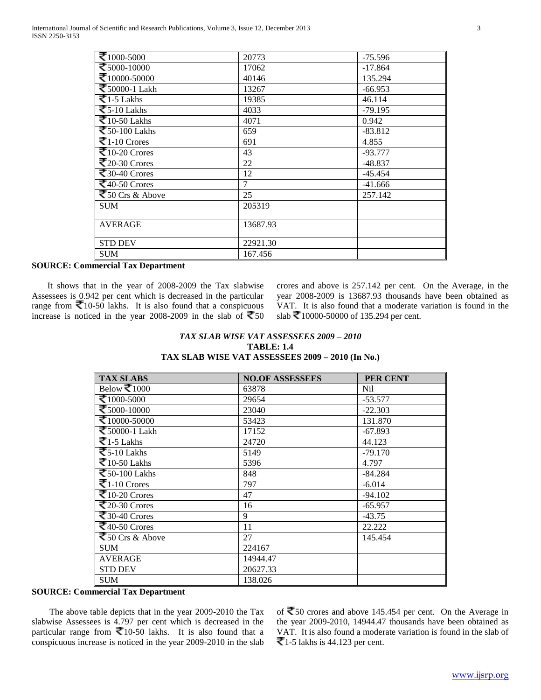| ₹ $1000-5000$                                        | 20773    | $-75.596$ |
|------------------------------------------------------|----------|-----------|
| ₹5000-10000                                          | 17062    | $-17.864$ |
| ₹10000-50000                                         | 40146    | 135.294   |
| ₹50000-1 Lakh                                        | 13267    | $-66.953$ |
| $\overline{51.5}$ Lakhs                              | 19385    | 46.114    |
| $\overline{\text{5-10}}$ Lakhs                       | 4033     | $-79.195$ |
| $\overline{510-50}$ Lakhs                            | 4071     | 0.942     |
| $\overline{\text{I}}$ 50-100 Lakhs                   | 659      | $-83.812$ |
| $\overline{\mathbf{Z}}$ 1-10 Crores                  | 691      | 4.855     |
| ₹10-20 Crores                                        | 43       | $-93.777$ |
| $\sqrt{20-30}$ Crores                                | 22       | $-48.837$ |
| $\sqrt{30-40}$ Crores                                | 12       | $-45.454$ |
| $\overline{\mathbf{\mathcal{F}}40\text{-}50}$ Crores | 7        | $-41.666$ |
| $\sqrt{50}$ Crs & Above                              | 25       | 257.142   |
| <b>SUM</b>                                           | 205319   |           |
| <b>AVERAGE</b>                                       | 13687.93 |           |
| <b>STD DEV</b>                                       | 22921.30 |           |
| <b>SUM</b>                                           | 167.456  |           |

#### **SOURCE: Commercial Tax Department**

 It shows that in the year of 2008-2009 the Tax slabwise Assessees is 0.942 per cent which is decreased in the particular range from  $\overline{\mathbf{\nabla}}$ 10-50 lakhs. It is also found that a conspicuous increase is noticed in the year 2008-2009 in the slab of  $\overline{\mathfrak{S}}$ 50 crores and above is 257.142 per cent. On the Average, in the year 2008-2009 is 13687.93 thousands have been obtained as VAT. It is also found that a moderate variation is found in the slab  $\bar{z}$ 10000-50000 of 135.294 per cent.

# *TAX SLAB WISE VAT ASSESSEES 2009 – 2010* **TABLE: 1.4 TAX SLAB WISE VAT ASSESSEES 2009 – 2010 (In No.)**

| <b>TAX SLABS</b>                        | <b>NO.OF ASSESSEES</b> | PER CENT  |
|-----------------------------------------|------------------------|-----------|
| Below ₹1000                             | 63878                  | Nil       |
| ₹ $1000-5000$                           | 29654                  | $-53.577$ |
| ₹5000-10000                             | 23040                  | $-22.303$ |
| ₹ $10000-50000$                         | 53423                  | 131.870   |
| ₹50000-1 Lakh                           | 17152                  | $-67.893$ |
| $\overline{z_{1-5}}$ Lakhs              | 24720                  | 44.123    |
| $\overline{55-10}$ Lakhs                | 5149                   | $-79.170$ |
| $\overline{\mathbf{z}}$ 10-50 Lakhs     | 5396                   | 4.797     |
| $\overline{\text{50}}$ -100 Lakhs       | 848                    | $-84.284$ |
| ₹1-10 Crores                            | 797                    | $-6.014$  |
| $\overline{\mathbf{z}}$ 10-20 Crores    | 47                     | $-94.102$ |
| $\overline{\mathbf{z}}_{20}$ -30 Crores | 16                     | $-65.957$ |
| ₹ $30-40$ Crores                        | 9                      | $-43.75$  |
| $\sqrt{40-50}$ Crores                   | 11                     | 22.222    |
| ₹50 Crs & Above                         | 27                     | 145.454   |
| <b>SUM</b>                              | 224167                 |           |
| <b>AVERAGE</b>                          | 14944.47               |           |
| <b>STD DEV</b>                          | 20627.33               |           |
| <b>SUM</b>                              | 138.026                |           |

## **SOURCE: Commercial Tax Department**

 The above table depicts that in the year 2009-2010 the Tax slabwise Assessees is 4.797 per cent which is decreased in the particular range from  $\leq 10$ -50 lakhs. It is also found that a conspicuous increase is noticed in the year 2009-2010 in the slab

of  $\bar{5}0$  crores and above 145.454 per cent. On the Average in the year 2009-2010, 14944.47 thousands have been obtained as VAT. It is also found a moderate variation is found in the slab of  $\bar{\mathbf{\mathcal{F}}}$ 1-5 lakhs is 44.123 per cent.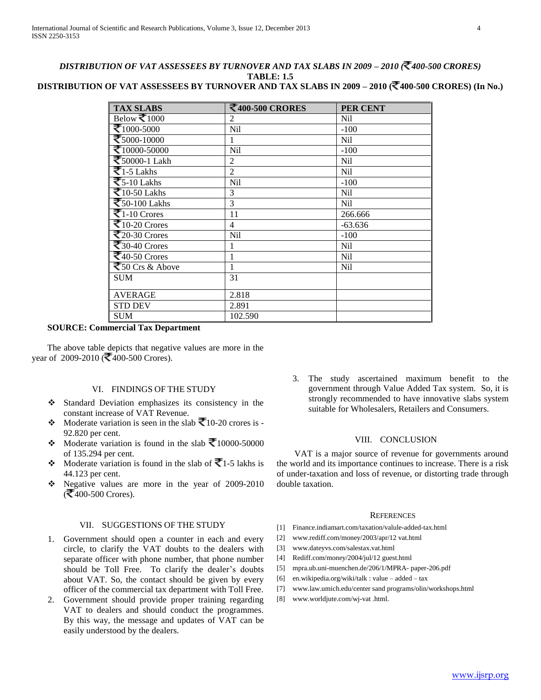# *DISTRIBUTION OF VAT ASSESSEES BY TURNOVER AND TAX SLABS IN 2009 – 2010 ( 400-500 CRORES)* **TABLE: 1.5**

# **DISTRIBUTION OF VAT ASSESSEES BY TURNOVER AND TAX SLABS IN 2009 – 2010 ( 400-500 CRORES) (In No.)**

| <b>TAX SLABS</b>                                    | ₹400-500 CRORES | PER CENT        |
|-----------------------------------------------------|-----------------|-----------------|
| Below $\mathbf{\overline{\leq}}1000$                | 2               | Nil             |
| ₹ $1000-5000$                                       | Nil             | $-100$          |
| ₹5000-10000                                         | 1               | Nil             |
| ₹ $10000 - 50000$                                   | Nil             | $-100$          |
| ₹50000-1 Lakh                                       | $\overline{2}$  | <b>Nil</b>      |
| $\overline{\mathbf{z}}$ 1-5 Lakhs                   | $\overline{2}$  | <b>Nil</b>      |
| $\overline{\text{5-10 L}}$ akhs                     | <b>Nil</b>      | $-100$          |
| $\overline{\mathbf{z}}$ 10-50 Lakhs                 | 3               | N <sub>il</sub> |
| $\overline{\text{50-100}}$ Lakhs                    | 3               | Nil             |
| $\overline{\mathbf{Z}}$ 1-10 Crores                 | 11              | 266.666         |
| ₹10-20 Crores                                       | $\overline{4}$  | $-63.636$       |
| $\overline{\mathbf{z}}_{20\text{-}30}$ Crores       | <b>Nil</b>      | $-100$          |
| $\sqrt{30-40}$ Crores                               | 1               | N <sub>il</sub> |
| $\sqrt{\frac{2}{10}}$ 50 Crores                     | 1               | Nil             |
| $\sqrt{\frac{1}{50 \text{ Crs } 80 \text{ A}}$ bove | 1               | N <sub>il</sub> |
| <b>SUM</b>                                          | 31              |                 |
| <b>AVERAGE</b>                                      | 2.818           |                 |
| <b>STD DEV</b>                                      | 2.891           |                 |
| <b>SUM</b>                                          | 102.590         |                 |

# **SOURCE: Commercial Tax Department**

 The above table depicts that negative values are more in the year of 2009-2010 ( $\bar{2}400$ -500 Crores).

# VI. FINDINGS OF THE STUDY

- Standard Deviation emphasizes its consistency in the constant increase of VAT Revenue.
- Moderate variation is seen in the slab  $\bar{\mathbf{\nabla}}$ 10-20 crores is -92.820 per cent.
- Moderate variation is found in the slab  $\bar{\mathbf{\mathcal{F}}}$ 10000-50000 of 135.294 per cent.
- Moderate variation is found in the slab of  $\overline{\mathcal{F}}$ 1-5 lakhs is 44.123 per cent.
- Negative values are more in the year of 2009-2010  $($   $\leq$  400-500 Crores).

# VII. SUGGESTIONS OF THE STUDY

- 1. Government should open a counter in each and every circle, to clarify the VAT doubts to the dealers with separate officer with phone number, that phone number should be Toll Free. To clarify the dealer's doubts about VAT. So, the contact should be given by every officer of the commercial tax department with Toll Free.
- 2. Government should provide proper training regarding VAT to dealers and should conduct the programmes. By this way, the message and updates of VAT can be easily understood by the dealers.

3. The study ascertained maximum benefit to the government through Value Added Tax system. So, it is strongly recommended to have innovative slabs system suitable for Wholesalers, Retailers and Consumers.

#### VIII. CONCLUSION

 VAT is a major source of revenue for governments around the world and its importance continues to increase. There is a risk of under-taxation and loss of revenue, or distorting trade through double taxation.

#### **REFERENCES**

- [1] Finance.indiamart.com/taxation/valule-added-tax.html
- [2] www.rediff.com/money/2003/apr/12 vat.html
- [3] www.dateyvs.com/salestax.vat.html
- [4] Rediff.com/money/2004/jul/12 guest.html
- [5] mpra.ub.uni-muenchen.de/206/1/MPRA- paper-206.pdf
- [6] en.wikipedia.org/wiki/talk : value added tax
- [7] www.law.umich.edu/center sand programs/olin/workshops.html
- [8] www.worldjute.com/wj-vat .html.